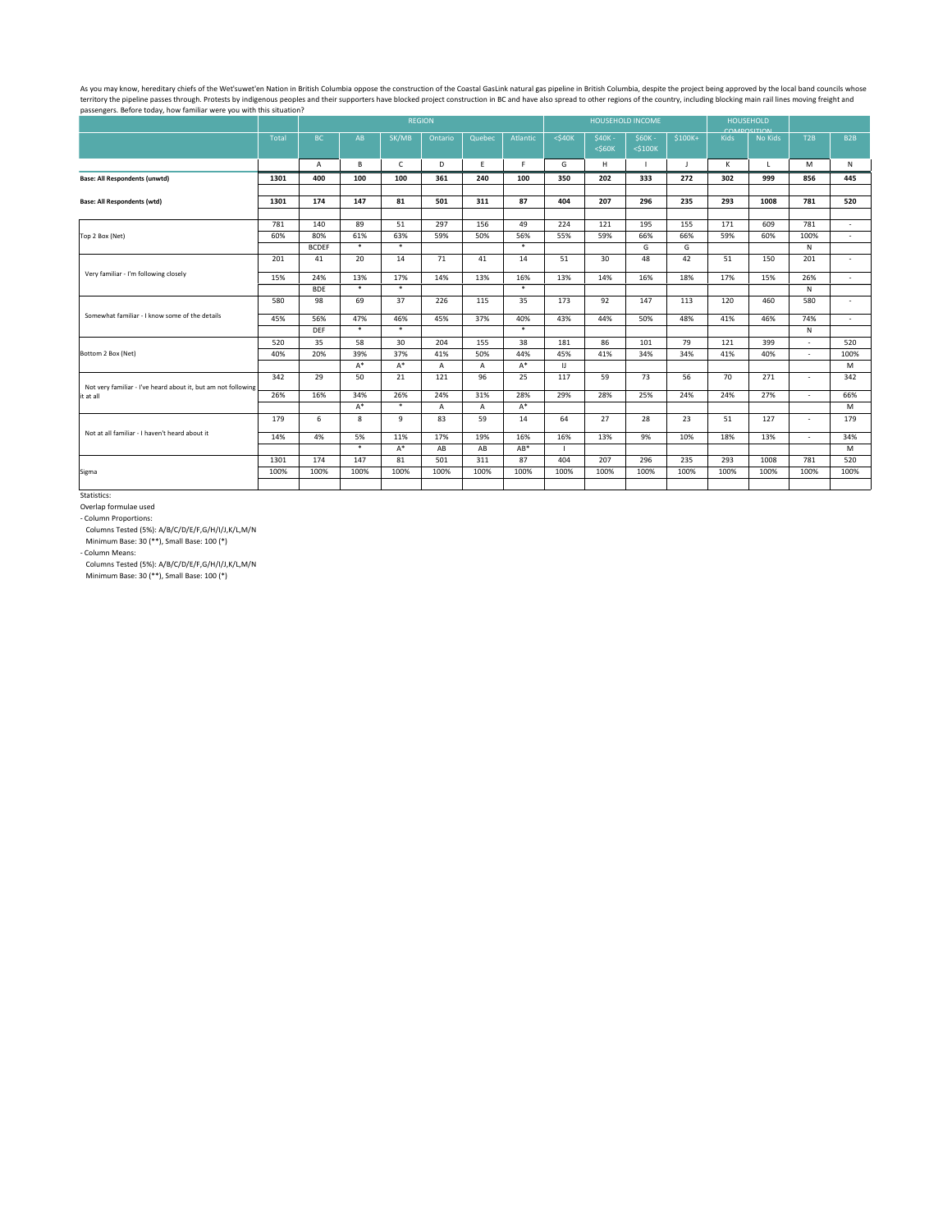As you may know, hereditary chiefs of the Wet'suwet'en Nation in British Columbia oppose the construction of the Coastal GasLink natural gas pipeline in British Columbia, despite the project being approved by the local ban territory the pipeline passes through. Protests by indigenous peoples and their supporters have blocked project construction in BC and have also spread to other regions of the country, including blocking main rail lines mo passengers. Before today, how familiar were you with this situation?

|                                                               |       |              |               |               | <b>REGION</b> |              |               |                        |                          | <b>HOUSEHOLD INCOME</b>   |          | <b>HOUSEHOLD</b> |                                                                                                                                                                                                           |      |                  |
|---------------------------------------------------------------|-------|--------------|---------------|---------------|---------------|--------------|---------------|------------------------|--------------------------|---------------------------|----------|------------------|-----------------------------------------------------------------------------------------------------------------------------------------------------------------------------------------------------------|------|------------------|
|                                                               | Total | <b>BC</b>    | AB            | SK/MB         | Ontario       | Quebec       | Atlantic      | $<$ \$40 $K$           | $$40K -$<br>$<$ \$60 $K$ | $$60K -$<br>$<$ \$100 $K$ | $$100K+$ | Kids             | COMPOSITION<br>No Kids                                                                                                                                                                                    | T2B  | B <sub>2</sub> B |
|                                                               |       | A            | B             | $\mathsf{C}$  | D             | E            | F             | G                      | H                        |                           | J        | K                | $\mathsf{L}$                                                                                                                                                                                              | M    | N                |
| <b>Base: All Respondents (unwtd)</b>                          | 1301  | 400          | 100           | 100           | 361           | 240          | 100           | 350                    | 202                      | 333                       | 272      | 302              | 999                                                                                                                                                                                                       | 856  | 445              |
|                                                               |       |              |               |               |               |              |               |                        |                          |                           |          |                  |                                                                                                                                                                                                           |      |                  |
| <b>Base: All Respondents (wtd)</b>                            | 1301  | 174          | 147           | 81            | 501           | 311          | 87            | 404                    | 207                      | 296                       | 235      | 293              |                                                                                                                                                                                                           |      | 520              |
|                                                               |       |              | 89            |               | 297           | 156          |               |                        |                          |                           |          |                  |                                                                                                                                                                                                           |      |                  |
|                                                               | 781   | 140          |               | 51            |               |              | 49            | 224                    | 121                      | 195                       | 155      |                  |                                                                                                                                                                                                           |      | $\sim$           |
| Top 2 Box (Net)                                               | 60%   | 80%          | 61%<br>$\ast$ | 63%<br>$\ast$ | 59%           | 50%          | 56%<br>$\ast$ | 55%                    | 59%                      | 66%                       | 66%      |                  |                                                                                                                                                                                                           |      | $\blacksquare$   |
|                                                               |       | <b>BCDEF</b> |               |               |               |              |               |                        |                          | G                         | G        |                  |                                                                                                                                                                                                           |      |                  |
|                                                               | 201   | 41           | 20            | 14            | 71            | 41           | 14            | 51                     | 30                       | 48                        | 42       |                  |                                                                                                                                                                                                           |      | $\sim$           |
| Very familiar - I'm following closely                         | 15%   | 24%          | 13%           | 17%           | 14%           | 13%          | 16%           | 13%                    | 14%                      | 16%                       | 18%      | 17%              | 15%                                                                                                                                                                                                       | 26%  | $\blacksquare$   |
|                                                               |       | <b>BDE</b>   | $\ast$        | $\ast$        |               |              | $\ast$        |                        |                          |                           |          |                  |                                                                                                                                                                                                           | N    |                  |
|                                                               | 580   | 98           | 69            | 37            | 226           | 115          | 35            | 173                    | 92                       | 147                       | 113      | 120              | 460                                                                                                                                                                                                       | 580  |                  |
| Somewhat familiar - I know some of the details                | 45%   | 56%          | 47%           | 46%           | 45%           | 37%          | 40%           | 43%                    | 44%                      | 50%                       | 48%      | 41%              | 46%                                                                                                                                                                                                       | 74%  | $\sim$           |
|                                                               |       | <b>DEF</b>   | $\ast$        | $\ast$        |               |              | $\ast$        |                        |                          |                           |          |                  | 781<br>1008<br>609<br>781<br>171<br>59%<br>60%<br>100%<br>N<br>51<br>201<br>150<br>N<br>399<br>$\sim$<br>40%<br>$\sim$<br>271<br>$\sim$<br>27%<br>$\sim$<br>127<br>$\sim$<br>13%<br>$\sim$<br>781<br>1008 |      |                  |
|                                                               | 520   | 35           | 58            | 30            | 204           | 155          | 38            | 181                    | 86                       | 101                       | 79       | 121              |                                                                                                                                                                                                           |      | 520              |
| Bottom 2 Box (Net)                                            | 40%   | 20%          | 39%           | 37%           | 41%           | 50%          | 44%           | 45%                    | 41%                      | 34%                       | 34%      | 41%              |                                                                                                                                                                                                           |      | 100%             |
|                                                               |       |              | $A^*$         | $A^*$         | $\mathsf{A}$  | $\mathsf{A}$ | $A^*$         | $\mathsf{I}\mathsf{J}$ |                          |                           |          |                  |                                                                                                                                                                                                           |      | M                |
|                                                               | 342   | 29           | 50            | 21            | 121           | 96           | 25            | 117                    | 59                       | 73                        | 56       | 70               |                                                                                                                                                                                                           |      | 342              |
| Not very familiar - I've heard about it, but am not following |       |              |               |               |               |              |               |                        |                          |                           |          |                  |                                                                                                                                                                                                           |      |                  |
| it at all                                                     | 26%   | 16%          | 34%           | 26%           | 24%           | 31%          | 28%           | 29%                    | 28%                      | 25%                       | 24%      | 24%              |                                                                                                                                                                                                           |      | 66%              |
|                                                               |       |              | $A^*$         | $\ast$        | A             | $\mathsf{A}$ | $A^*$         |                        |                          |                           |          |                  |                                                                                                                                                                                                           |      | M                |
|                                                               | 179   | 6            | 8             | 9             | 83            | 59           | 14            | 64                     | 27                       | 28                        | 23       | 51               |                                                                                                                                                                                                           |      | 179              |
| Not at all familiar - I haven't heard about it                | 14%   | 4%           | 5%            | 11%           | 17%           | 19%          | 16%           | 16%                    | 13%                      | 9%                        | 10%      | 18%              |                                                                                                                                                                                                           |      | 34%              |
|                                                               |       |              | $\ast$        | $A^*$         | AB            | AB           | $AB*$         |                        |                          |                           |          |                  |                                                                                                                                                                                                           |      | M                |
|                                                               | 1301  | 174          | 147           | 81            | 501           | 311          | 87            | 404                    | 207                      | 296                       | 235      | 293              |                                                                                                                                                                                                           |      | 520              |
| Sigma                                                         | 100%  | 100%         | 100%          | 100%          | 100%          | 100%         | 100%          | 100%                   | 100%                     | 100%                      | 100%     | 100%             | 100%                                                                                                                                                                                                      | 100% | 100%             |
|                                                               |       |              |               |               |               |              |               |                        |                          |                           |          |                  |                                                                                                                                                                                                           |      |                  |
|                                                               |       |              |               |               |               |              |               |                        |                          |                           |          |                  |                                                                                                                                                                                                           |      |                  |

Statistics:

Overlap formulae used

- Column Proportions:

Columns Tested (5%): A/B/C/D/E/F,G/H/I/J,K/L,M/N

Minimum Base: 30 (\*\*), Small Base: 100 (\*)

- Column Means:

Columns Tested (5%): A/B/C/D/E/F,G/H/I/J,K/L,M/N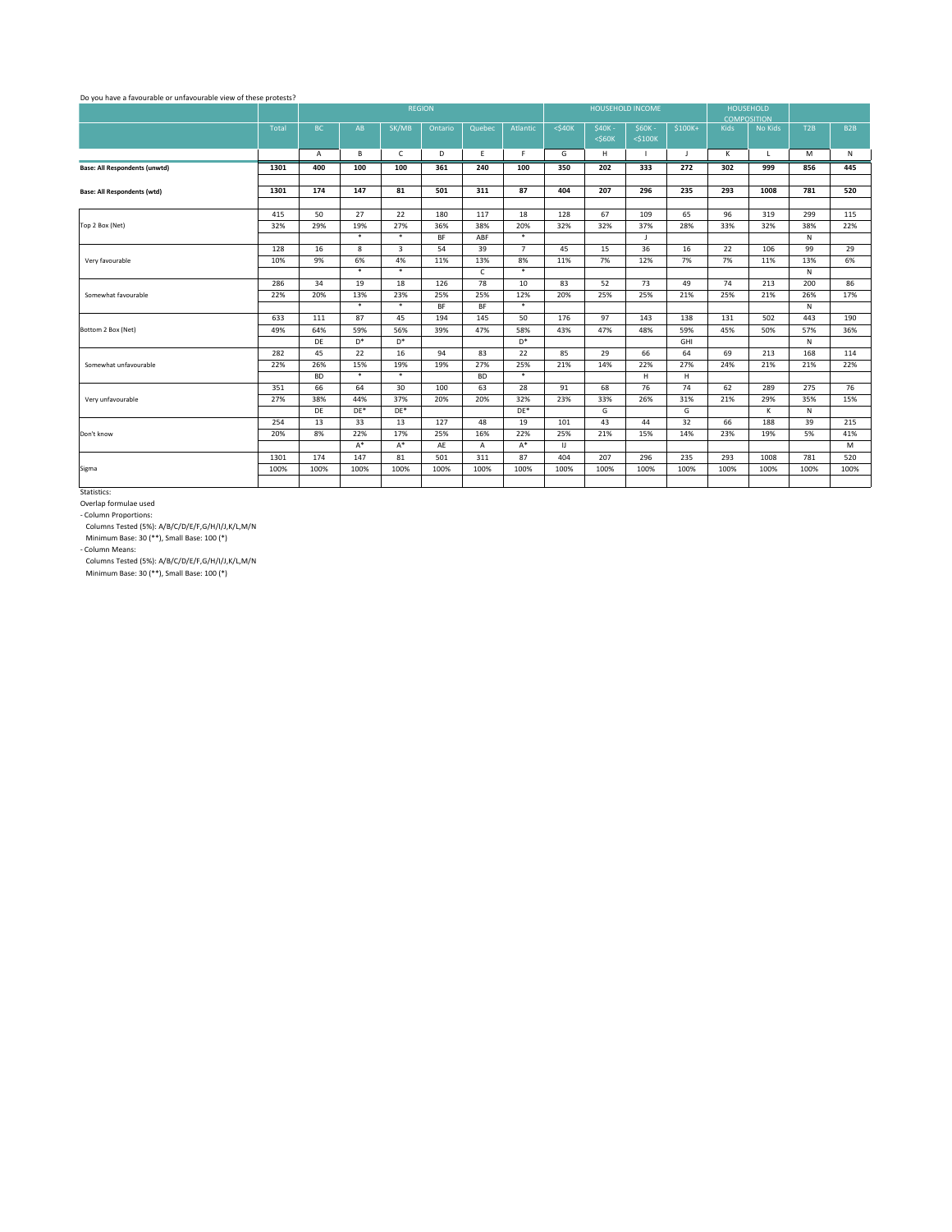|                                      |       |           |                |                | <b>REGION</b> |              |                 | HOUSEHOLD INCOME |                          |                           |          |             | <b>HOUSEHOLD</b><br><b>COMPOSITION</b> |              |                  |
|--------------------------------------|-------|-----------|----------------|----------------|---------------|--------------|-----------------|------------------|--------------------------|---------------------------|----------|-------------|----------------------------------------|--------------|------------------|
|                                      | Total | <b>BC</b> | AB             | SK/MB          | Ontario       | Quebec       | Atlantic        | $<$ \$40 $K$     | $$40K -$<br>$<$ \$60 $K$ | $$60K -$<br>$<$ \$100 $K$ | $$100K+$ | <b>Kids</b> | No Kids                                | T2B          | B <sub>2</sub> B |
|                                      |       | A         | B              | $\mathsf{C}$   | D             | E            | F.              | G                | H                        | $\blacksquare$            | J        | K           | $\mathsf{L}$                           | M            | N                |
| <b>Base: All Respondents (unwtd)</b> | 1301  | 400       | 100            | 100            | 361           | 240          | 100             | 350              | 202                      | 333                       | 272      | 302         | 999                                    | 856          | 445              |
|                                      |       |           |                |                |               |              |                 |                  |                          |                           |          |             |                                        |              |                  |
| <b>Base: All Respondents (wtd)</b>   | 1301  | 174       | 147            | 81             | 501           | 311          | 87              | 404              | 207                      | 296                       | 235      | 293         | 1008                                   | 781          | 520              |
|                                      | 415   | 50        | 27             | 22             | 180           | 117          | 18              | 128              | 67                       | 109                       | 65       | 96          | 319                                    | 299          | 115              |
| Top 2 Box (Net)                      | 32%   | 29%       | 19%            | 27%            | 36%           | 38%          | 20%             | 32%              | 32%                      | 37%                       | 28%      | 33%         | 32%                                    | 38%          | 22%              |
|                                      |       |           | $\ast$         | $\ast$         | <b>BF</b>     | ABF          | $\ast$          |                  |                          | $\mathsf{J}$              |          |             |                                        | N            |                  |
|                                      | 128   | 16        | 8              | $\mathbf{3}$   | 54            | 39           | $\overline{7}$  | 45               | 15                       | 36                        | 16       | 22          | 106                                    | 99           | 29               |
| Very favourable                      | 10%   | 9%        | 6%             | 4%             | 11%           | 13%          | 8%              | 11%              | 7%                       | 12%                       | 7%       | 7%          | 11%                                    | 13%          | 6%               |
|                                      |       |           | $\ast$         | $\ast$         |               | $\mathsf{C}$ | $\ast$          |                  |                          |                           |          |             |                                        | $\mathsf{N}$ |                  |
|                                      | 286   | 34        | 19             | 18             | 126           | 78           | 10              | 83               | 52                       | 73                        | 49       | 74          | 213                                    | 200          | 86               |
| Somewhat favourable                  | 22%   | 20%       | 13%            | 23%            | 25%           | 25%          | 12%             | 20%              | 25%                      | 25%                       | 21%      | 25%         | 21%                                    | 26%          | 17%              |
|                                      |       |           | $\ast$         | $\ast$         | <b>BF</b>     | <b>BF</b>    | $\ast$          |                  |                          |                           |          |             |                                        | $\mathsf{N}$ |                  |
|                                      | 633   | 111       | 87             | 45             | 194           | 145          | 50              | 176              | 97                       | 143                       | 138      | 131         | 502                                    | 443          | 190              |
| Bottom 2 Box (Net)                   | 49%   | 64%       | 59%            | 56%            | 39%           | 47%          | 58%             | 43%              | 47%                      | 48%                       | 59%      | 45%         | 50%                                    | 57%          | 36%              |
|                                      |       | DE        | D <sup>*</sup> | $\mathsf{D}^*$ |               |              | $\mathsf{D}^*$  |                  |                          |                           | GHI      |             |                                        | N            |                  |
|                                      | 282   | 45        | 22             | 16             | 94            | 83           | 22              | 85               | 29                       | 66                        | 64       | 69          | 213                                    | 168          | 114              |
| Somewhat unfavourable                | 22%   | 26%       | 15%            | 19%            | 19%           | 27%          | 25%             | 21%              | 14%                      | 22%                       | 27%      | 24%         | 21%                                    | 21%          | 22%              |
|                                      |       | <b>BD</b> | $\ast$         | $\ast$         |               | <b>BD</b>    | $\ast$          |                  |                          | H                         | H.       |             |                                        |              |                  |
|                                      | 351   | 66        | 64             | 30             | 100           | 63           | 28              | 91               | 68                       | 76                        | 74       | 62          | 289                                    | 275          | 76               |
| Very unfavourable                    | 27%   | 38%       | 44%            | 37%            | 20%           | 20%          | 32%             | 23%              | 33%                      | 26%                       | 31%      | 21%         | 29%                                    | 35%          | 15%              |
|                                      |       | DE        | $DE*$          | $DE*$          |               |              | $\mathsf{DE}^*$ |                  | G                        |                           | G        |             | K                                      | N            |                  |
|                                      | 254   | 13        | 33             | 13             | 127           | 48           | 19              | 101              | 43                       | 44                        | 32       | 66          | 188                                    | 39           | 215              |
| Don't know                           | 20%   | 8%        | 22%            | 17%            | 25%           | 16%          | 22%             | 25%              | 21%                      | 15%                       | 14%      | 23%         | 19%                                    | 5%           | 41%              |
|                                      |       |           | $A^*$          | $A^*$          | AE            | $\mathsf{A}$ | $A^*$           | IJ               |                          |                           |          |             |                                        |              | M                |
|                                      | 1301  | 174       | 147            | 81             | 501           | 311          | 87              | 404              | 207                      | 296                       | 235      | 293         | 1008                                   | 781          | 520              |
| Sigma                                | 100%  | 100%      | 100%           | 100%           | 100%          | 100%         | 100%            | 100%             | 100%                     | 100%                      | 100%     | 100%        | 100%                                   | 100%         | 100%             |
|                                      |       |           |                |                |               |              |                 |                  |                          |                           |          |             |                                        |              |                  |

Do you have a favourable or unfavourable view of these protests?

Statistics:

Overlap formulae used

Minimum Base: 30 (\*\*), Small Base: 100 (\*)

- Column Proportions:

Columns Tested (5%): A/B/C/D/E/F,G/H/I/J,K/L,M/N

Minimum Base: 30 (\*\*), Small Base: 100 (\*)

- Column Means:

Columns Tested (5%): A/B/C/D/E/F,G/H/I/J,K/L,M/N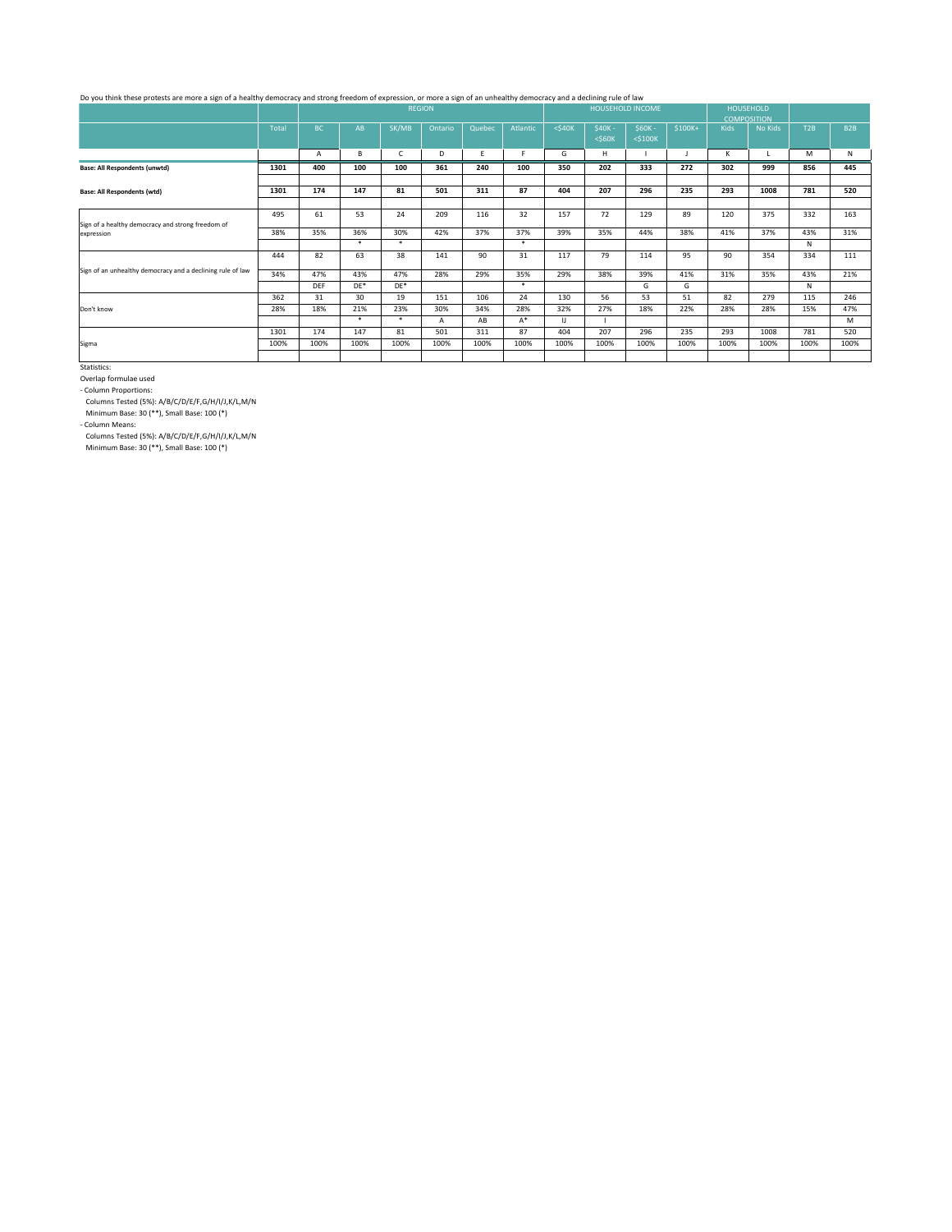|                                                                 |              | <b>REGION</b><br>HOUSEHOLD INCOME |        |              |         |        |          |                        |                          |                           |          | <b>HOUSEHOLD</b><br><b>COMPOSITION</b> |         |      |                 |
|-----------------------------------------------------------------|--------------|-----------------------------------|--------|--------------|---------|--------|----------|------------------------|--------------------------|---------------------------|----------|----------------------------------------|---------|------|-----------------|
|                                                                 | <b>Total</b> | <b>BC</b>                         | AB     | SK/MB        | Ontario | Quebec | Atlantic | $<$ \$40 $K$           | $$40K -$<br>$<$ \$60 $K$ | $$60K -$<br>$<$ \$100 $K$ | $$100K+$ | Kids                                   | No Kids | T2B  | B <sub>2B</sub> |
|                                                                 |              | A                                 | B      | $\mathsf{C}$ | D       | E      |          | G                      | H                        |                           |          | K                                      | L       | M    | N               |
| <b>Base: All Respondents (unwtd)</b>                            | 1301         | 400                               | 100    | 100          | 361     | 240    | 100      | 350                    | 202                      | 333                       | 272      | 302                                    | 999     | 856  | 445             |
|                                                                 |              |                                   |        |              |         |        |          |                        |                          |                           |          |                                        |         |      |                 |
| <b>Base: All Respondents (wtd)</b>                              | 1301         | 174                               | 147    | 81           | 501     | 311    | 87       | 404                    | 207                      | 296                       | 235      | 293                                    | 1008    | 781  | 520             |
|                                                                 |              |                                   |        |              |         |        |          |                        |                          |                           |          |                                        |         |      |                 |
|                                                                 | 495          | 61                                | 53     | 24           | 209     | 116    | 32       | 157                    | 72                       | 129                       | 89       | 120                                    | 375     | 332  | 163             |
| Sign of a healthy democracy and strong freedom of<br>expression | 38%          | 35%                               | 36%    | 30%          | 42%     | 37%    | 37%      | 39%                    | 35%                      | 44%                       | 38%      | 41%                                    | 37%     | 43%  | 31%             |
|                                                                 |              |                                   | $\ast$ | $\ast$       |         |        | $\ast$   |                        |                          |                           |          |                                        |         | N    |                 |
|                                                                 | 444          | 82                                | 63     | 38           | 141     | 90     | 31       | 117                    | 79                       | 114                       | 95       | 90                                     | 354     | 334  | 111             |
| Sign of an unhealthy democracy and a declining rule of law      | 34%          | 47%                               | 43%    | 47%          | 28%     | 29%    | 35%      | 29%                    | 38%                      | 39%                       | 41%      | 31%                                    | 35%     | 43%  | 21%             |
|                                                                 |              | <b>DEF</b>                        | $DE*$  | $DE*$        |         |        | $\ast$   |                        |                          | G                         | G        |                                        |         | N    |                 |
|                                                                 | 362          | 31                                | 30     | 19           | 151     | 106    | 24       | 130                    | 56                       | 53                        | 51       | 82                                     | 279     | 115  | 246             |
| Don't know                                                      | 28%          | 18%                               | 21%    | 23%          | 30%     | 34%    | 28%      | 32%                    | 27%                      | 18%                       | 22%      | 28%                                    | 28%     | 15%  | 47%             |
|                                                                 |              |                                   | $\ast$ | $\ast$       | A       | AB     | $A^*$    | $\mathsf{I}\mathsf{J}$ |                          |                           |          |                                        |         |      | M               |
|                                                                 | 1301         | 174                               | 147    | 81           | 501     | 311    | 87       | 404                    | 207                      | 296                       | 235      | 293                                    | 1008    | 781  | 520             |
| Sigma                                                           | 100%         | 100%                              | 100%   | 100%         | 100%    | 100%   | 100%     | 100%                   | 100%                     | 100%                      | 100%     | 100%                                   | 100%    | 100% | 100%            |
|                                                                 |              |                                   |        |              |         |        |          |                        |                          |                           |          |                                        |         |      |                 |

## Do you think these protests are more a sign of a healthy democracy and strong freedom of expression, or more a sign of an unhealthy democracy and a declining rule of law

Statistics:

Columns Tested (5%): A/B/C/D/E/F,G/H/I/J,K/L,M/N

Minimum Base: 30 (\*\*), Small Base: 100 (\*)

Overlap formulae used

- Column Proportions:

Columns Tested (5%): A/B/C/D/E/F,G/H/I/J,K/L,M/N

Minimum Base: 30 (\*\*), Small Base: 100 (\*)

- Column Means: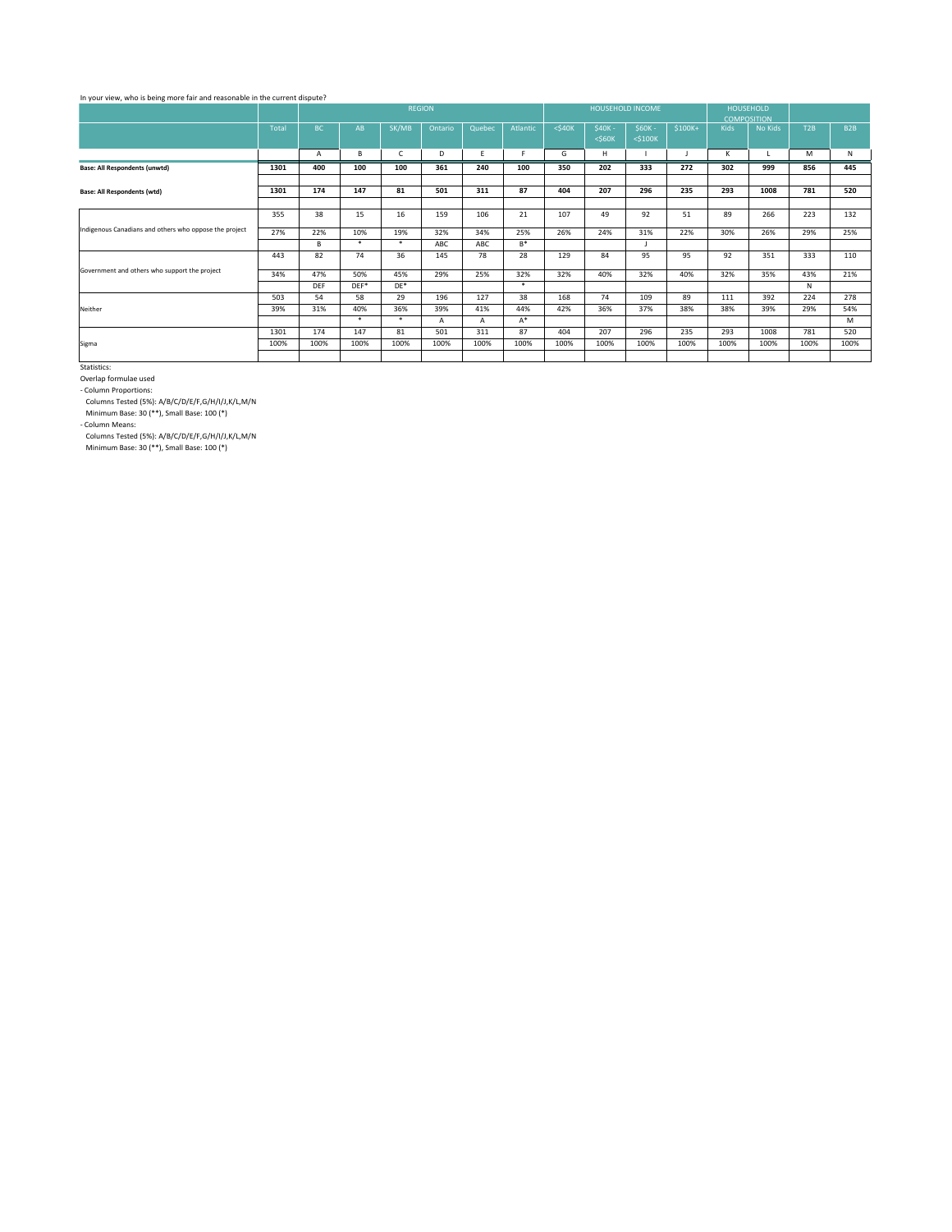|                                                        |              |            |        |              | <b>REGION</b> |              |          |              |                          | HOUSEHOLD INCOME          |          | <b>COMPOSITION</b> | <b>HOUSEHOLD</b> |      |                  |
|--------------------------------------------------------|--------------|------------|--------|--------------|---------------|--------------|----------|--------------|--------------------------|---------------------------|----------|--------------------|------------------|------|------------------|
|                                                        | <b>Total</b> | BC         | AB     | SK/MB        | Ontario       | Quebec       | Atlantic | $<$ \$40 $K$ | $$40K -$<br>$<$ \$60 $K$ | $$60K -$<br>$<$ \$100 $K$ | $$100K+$ | <b>Kids</b>        | No Kids          | T2B  | B <sub>2</sub> B |
|                                                        |              | A          | B      | $\mathsf{C}$ | D             | E.           | F.       | G            | H                        |                           |          | K                  | L                | M    | N                |
| <b>Base: All Respondents (unwtd)</b>                   | 1301         | 400        | 100    | 100          | 361           | 240          | 100      | 350          | 202                      | 333                       | 272      | 302                | 999              | 856  | 445              |
|                                                        |              |            |        |              |               |              |          |              |                          |                           |          |                    |                  |      |                  |
| <b>Base: All Respondents (wtd)</b>                     | 1301         | 174        | 147    | 81           | 501           | 311          | 87       | 404          | 207                      | 296                       | 235      | 293                | 1008             | 781  | 520              |
|                                                        |              |            |        |              |               |              |          |              |                          |                           |          |                    |                  |      |                  |
| Indigenous Canadians and others who oppose the project | 355          | 38         | 15     | 16           | 159           | 106          | 21       | 107          | 49                       | 92                        | 51       | 89                 | 266              | 223  | 132              |
|                                                        | 27%          | 22%        | 10%    | 19%          | 32%           | 34%          | 25%      | 26%          | 24%                      | 31%                       | 22%      | 30%                | 26%              | 29%  | 25%              |
|                                                        |              | B          | $\ast$ | $\ast$       | ABC           | <b>ABC</b>   | $B^*$    |              |                          |                           |          |                    |                  |      |                  |
|                                                        | 443          | 82         | 74     | 36           | 145           | 78           | 28       | 129          | 84                       | 95                        | 95       | 92                 | 351              | 333  | 110              |
| Government and others who support the project          | 34%          | 47%        | 50%    | 45%          | 29%           | 25%          | 32%      | 32%          | 40%                      | 32%                       | 40%      | 32%                | 35%              | 43%  | 21%              |
|                                                        |              | <b>DEF</b> | DEF*   | $DE*$        |               |              | $\ast$   |              |                          |                           |          |                    |                  | N    |                  |
|                                                        | 503          | 54         | 58     | 29           | 196           | 127          | 38       | 168          | 74                       | 109                       | 89       | 111                | 392              | 224  | 278              |
| Neither                                                | 39%          | 31%        | 40%    | 36%          | 39%           | 41%          | 44%      | 42%          | 36%                      | 37%                       | 38%      | 38%                | 39%              | 29%  | 54%              |
|                                                        |              |            | $\ast$ | $\ast$       | A             | $\mathsf{A}$ | $A^*$    |              |                          |                           |          |                    |                  |      | M                |
|                                                        | 1301         | 174        | 147    | 81           | 501           | 311          | 87       | 404          | 207                      | 296                       | 235      | 293                | 1008             | 781  | 520              |
| Sigma                                                  | 100%         | 100%       | 100%   | 100%         | 100%          | 100%         | 100%     | 100%         | 100%                     | 100%                      | 100%     | 100%               | 100%             | 100% | 100%             |
|                                                        |              |            |        |              |               |              |          |              |                          |                           |          |                    |                  |      |                  |

## In your view, who is being more fair and reasonable in the current dispute?

Statistics:

Columns Tested (5%): A/B/C/D/E/F,G/H/I/J,K/L,M/N

Minimum Base: 30 (\*\*), Small Base: 100 (\*)

Overlap formulae used

- Column Proportions:

Columns Tested (5%): A/B/C/D/E/F,G/H/I/J,K/L,M/N

Minimum Base: 30 (\*\*), Small Base: 100 (\*)

- Column Means: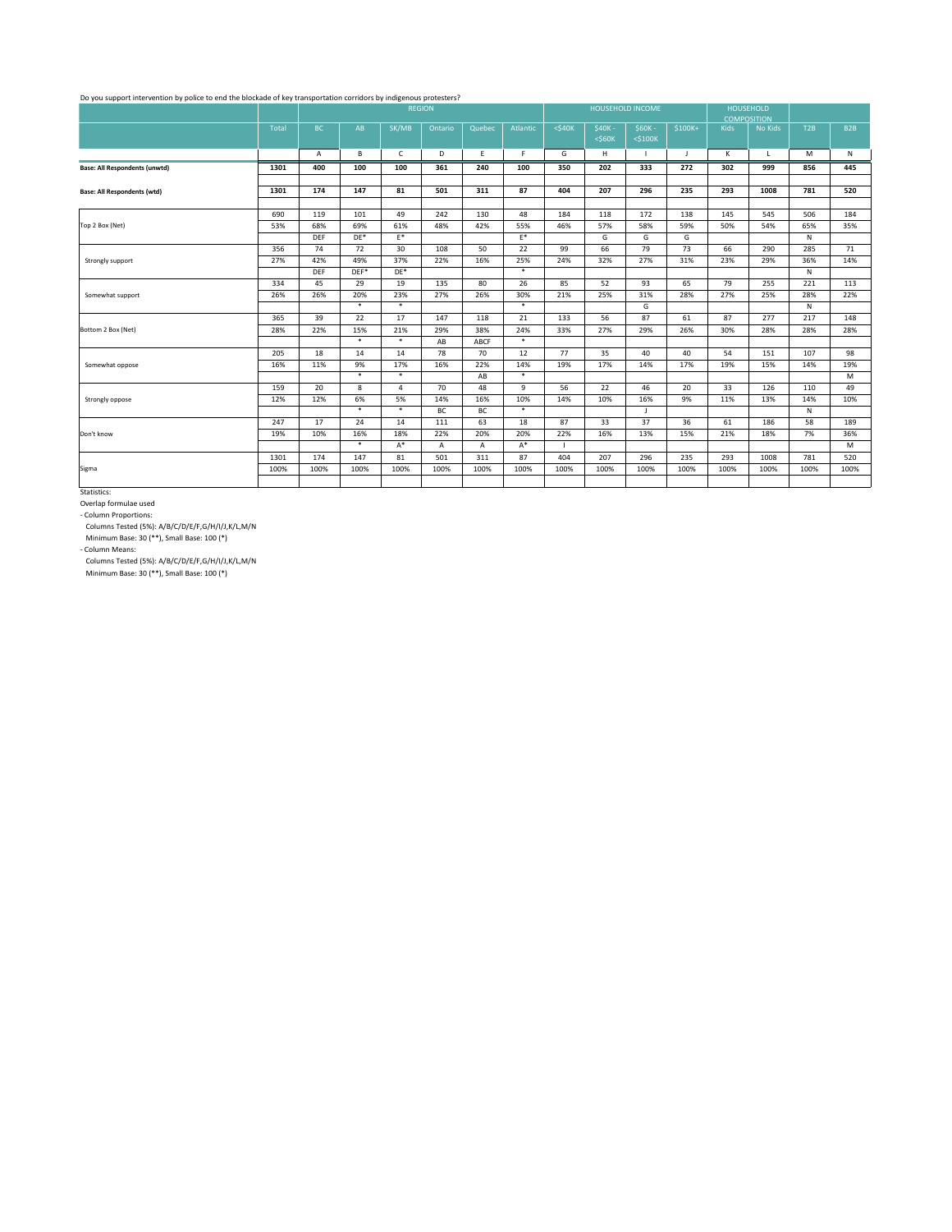|                                      |              | <b>REGION</b> |        |                |              |              |                |              | <b>HOUSEHOLD INCOME</b>  |                           |          | <b>COMPOSITION</b> | <b>HOUSEHOLD</b> |      |                  |
|--------------------------------------|--------------|---------------|--------|----------------|--------------|--------------|----------------|--------------|--------------------------|---------------------------|----------|--------------------|------------------|------|------------------|
|                                      | <b>Total</b> | BC            | AB     | SK/MB          | Ontario      | Quebec       | Atlantic       | $<$ \$40 $K$ | $$40K -$<br>$<$ \$60 $K$ | $$60K -$<br>$<$ \$100 $K$ | $$100K+$ | <b>Kids</b>        | No Kids          | T2B  | B <sub>2</sub> B |
|                                      |              | $\mathsf{A}$  | B      | $\mathsf{C}$   | D            | E.           | F.             | G            | H                        |                           | J        | К                  | $\mathsf{L}$     | M    | $\mathsf{N}$     |
| <b>Base: All Respondents (unwtd)</b> | 1301         | 400           | 100    | 100            | 361          | 240          | 100            | 350          | 202                      | 333                       | 272      | 302                | 999              | 856  | 445              |
|                                      |              |               |        |                |              |              |                |              |                          |                           |          |                    |                  |      |                  |
| <b>Base: All Respondents (wtd)</b>   | 1301         | 174           | 147    | 81             | 501          | 311          | 87             | 404          | 207                      | 296                       | 235      | 293                | 1008             | 781  | 520              |
|                                      | 690          | 119           | 101    | 49             | 242          | 130          | 48             | 184          | 118                      | 172                       | 138      | 145                | 545              | 506  | 184              |
| Top 2 Box (Net)                      | 53%          | 68%           | 69%    | 61%            | 48%          | 42%          | 55%            | 46%          | 57%                      | 58%                       | 59%      | 50%                | 54%              | 65%  | 35%              |
|                                      |              | <b>DEF</b>    | $DE*$  | $\mathsf{E}^*$ |              |              | $\mathsf{E}^*$ |              | G                        | G                         | G        |                    |                  | N    |                  |
|                                      | 356          | 74            | 72     | 30             | 108          | 50           | 22             | 99           | 66                       | 79                        | 73       | 66                 | 290              | 285  | 71               |
| Strongly support                     | 27%          | 42%           | 49%    | 37%            | 22%          | 16%          | 25%            | 24%          | 32%                      | 27%                       | 31%      | 23%                | 29%              | 36%  | 14%              |
|                                      |              | <b>DEF</b>    | $DEF*$ | $DE*$          |              |              | $\ast$         |              |                          |                           |          |                    |                  | N    |                  |
|                                      | 334          | 45            | 29     | 19             | 135          | 80           | 26             | 85           | 52                       | 93                        | 65       | 79                 | 255              | 221  | 113              |
| Somewhat support                     | 26%          | 26%           | 20%    | 23%            | 27%          | 26%          | 30%            | 21%          | 25%                      | 31%                       | 28%      | 27%                | 25%              | 28%  | 22%              |
|                                      |              |               | $\ast$ | $\ast$         |              |              | $\ast$         |              |                          | G                         |          |                    |                  | N    |                  |
|                                      | 365          | 39            | 22     | 17             | 147          | 118          | 21             | 133          | 56                       | 87                        | 61       | 87                 | 277              | 217  | 148              |
| Bottom 2 Box (Net)                   | 28%          | 22%           | 15%    | 21%            | 29%          | 38%          | 24%            | 33%          | 27%                      | 29%                       | 26%      | 30%                | 28%              | 28%  | 28%              |
|                                      |              |               | $\ast$ | $\ast$         | AB           | <b>ABCF</b>  | $\ast$         |              |                          |                           |          |                    |                  |      |                  |
|                                      | 205          | 18            | 14     | 14             | 78           | 70           | 12             | 77           | 35                       | 40                        | 40       | 54                 | 151              | 107  | 98               |
| Somewhat oppose                      | 16%          | 11%           | 9%     | 17%            | 16%          | 22%          | 14%            | 19%          | 17%                      | 14%                       | 17%      | 19%                | 15%              | 14%  | 19%              |
|                                      |              |               | $\ast$ | $\ast$         |              | AB           | $\ast$         |              |                          |                           |          |                    |                  |      | M                |
|                                      | 159          | 20            | 8      | $\overline{4}$ | 70           | 48           | 9              | 56           | 22                       | 46                        | 20       | 33                 | 126              | 110  | 49               |
| Strongly oppose                      | 12%          | 12%           | 6%     | 5%             | 14%          | 16%          | 10%            | 14%          | 10%                      | 16%                       | 9%       | 11%                | 13%              | 14%  | 10%              |
|                                      |              |               | $\ast$ | $\ast$         | BC           | BC           | $\ast$         |              |                          | J                         |          |                    |                  | N    |                  |
|                                      | 247          | 17            | 24     | 14             | 111          | 63           | 18             | 87           | 33                       | 37                        | 36       | 61                 | 186              | 58   | 189              |
| Don't know                           | 19%          | 10%           | 16%    | 18%            | 22%          | 20%          | 20%            | 22%          | 16%                      | 13%                       | 15%      | 21%                | 18%              | 7%   | 36%              |
|                                      |              |               | $\ast$ | $A^*$          | $\mathsf{A}$ | $\mathsf{A}$ | $A^*$          |              |                          |                           |          |                    |                  |      | M                |
|                                      | 1301         | 174           | 147    | 81             | 501          | 311          | 87             | 404          | 207                      | 296                       | 235      | 293                | 1008             | 781  | 520              |
| Sigma                                | 100%         | 100%          | 100%   | 100%           | 100%         | 100%         | 100%           | 100%         | 100%                     | 100%                      | 100%     | 100%               | 100%             | 100% | 100%             |
|                                      |              |               |        |                |              |              |                |              |                          |                           |          |                    |                  |      |                  |

#### Do you support intervention by police to end the blockade of key transportation corridors by indigenous protesters?

Statistics:

Overlap formulae used

Minimum Base: 30 (\*\*), Small Base: 100 (\*)

- Column Proportions:

Columns Tested (5%): A/B/C/D/E/F,G/H/I/J,K/L,M/N

Minimum Base: 30 (\*\*), Small Base: 100 (\*)

- Column Means:

Columns Tested (5%): A/B/C/D/E/F,G/H/I/J,K/L,M/N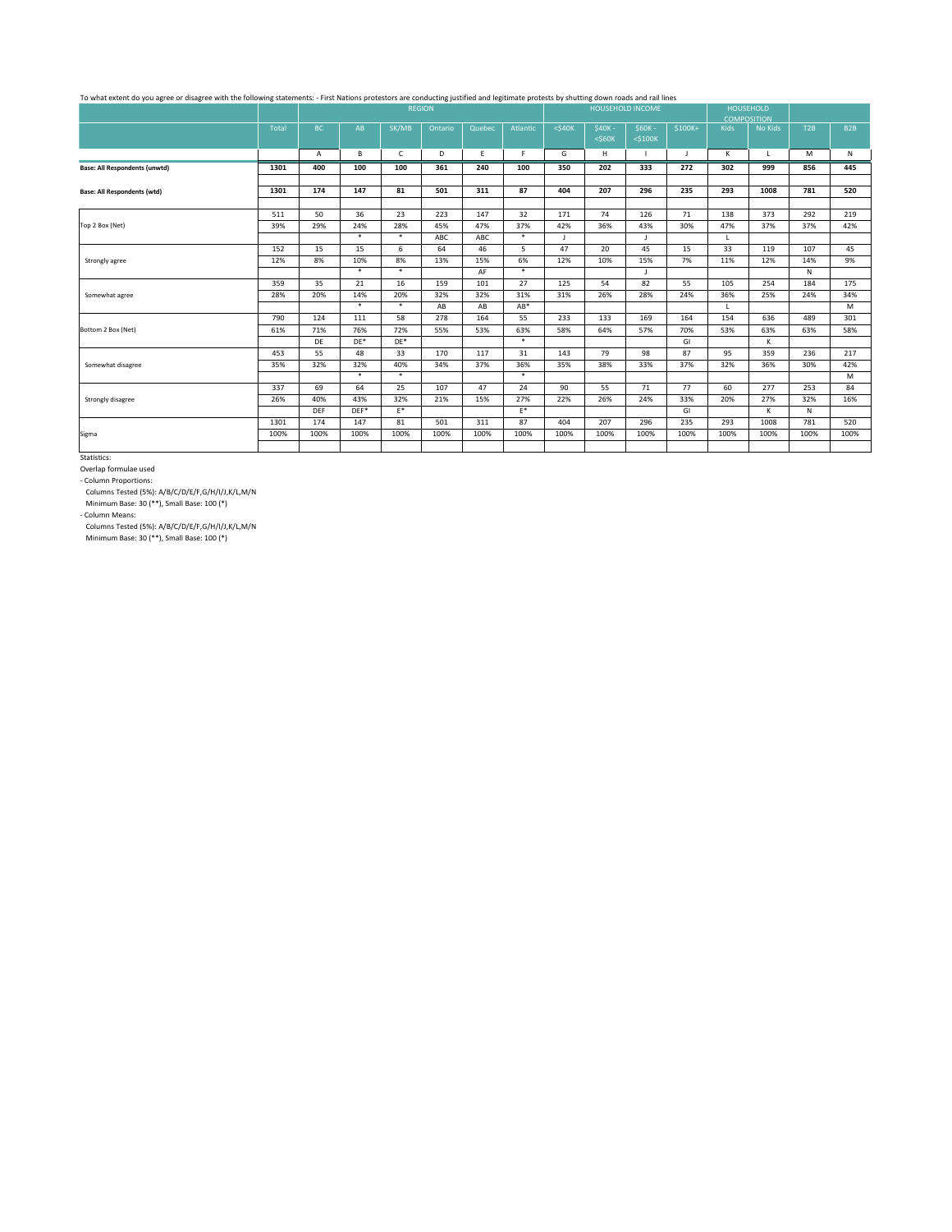|                                      |       |            | <b>REGION</b> |                |         |        |          |              | <b>HOUSEHOLD INCOME</b> |               |          |              | <b>HOUSEHOLD</b>                     |                                                                                      |                  |
|--------------------------------------|-------|------------|---------------|----------------|---------|--------|----------|--------------|-------------------------|---------------|----------|--------------|--------------------------------------|--------------------------------------------------------------------------------------|------------------|
|                                      | Total | <b>BC</b>  | AB            | SK/MB          | Ontario | Quebec | Atlantic | $<$ \$40 $K$ | \$40K-                  | $$60K -$      | $$100K+$ | <b>Kids</b>  | <b>COMPOSITION</b><br><b>No Kids</b> |                                                                                      | B <sub>2</sub> B |
|                                      |       |            |               |                |         |        |          |              | $<$ \$60 $K$            | $<$ \$100 $K$ |          |              |                                      |                                                                                      |                  |
|                                      |       | A          | B             | $\mathsf{C}$   | D       | E.     | F        | G            | H                       |               | J        | K            | $\mathsf{L}$                         | M                                                                                    | N                |
| <b>Base: All Respondents (unwtd)</b> | 1301  | 400        | 100           | 100            | 361     | 240    | 100      | 350          | 202                     | 333           | 272      | 302          | 999                                  | 856                                                                                  | 445              |
| <b>Base: All Respondents (wtd)</b>   | 1301  | 174        | 147           | 81             | 501     | 311    | 87       | 404          | 207                     | 296           | 235      | 293          | 1008                                 | 781                                                                                  | 520              |
|                                      |       |            |               |                |         |        |          |              |                         |               |          |              |                                      |                                                                                      |                  |
|                                      | 511   | 50         | 36            | 23             | 223     | 147    | 32       | 171          | 74                      | 126           | 71       | 138          | 373                                  | 292                                                                                  | 219              |
| Top 2 Box (Net)                      | 39%   | 29%        | 24%           | 28%            | 45%     | 47%    | 37%      | 42%          | 36%                     | 43%           | 30%      | 47%          | 37%                                  | 37%                                                                                  | 42%              |
|                                      |       |            | $\ast$        | $\ast$         | ABC     | ABC    | $\ast$   | $\mathsf{J}$ |                         | $\mathbf{I}$  |          | $\mathsf{L}$ |                                      |                                                                                      |                  |
|                                      | 152   | 15         | 15            | 6              | 64      | 46     | 5        | 47           | 20                      | 45            | 15       | 33           | 119                                  | 107                                                                                  | 45               |
| Strongly agree                       | 12%   | 8%         | 10%           | 8%             | 13%     | 15%    | 6%       | 12%          | 10%                     | 15%           | 7%       | 11%          | 12%                                  | 14%                                                                                  | 9%               |
|                                      |       |            | $\ast$        | $\ast$         |         | AF     | $\ast$   |              |                         | $\mathbf{J}$  |          |              |                                      | T2B<br>N<br>184<br>24%<br>489<br>63%<br>236<br>30%<br>253<br>32%<br>N<br>781<br>100% |                  |
|                                      | 359   | 35         | 21            | 16             | 159     | 101    | 27       | 125          | 54                      | 82            | 55       | 105          | 254                                  |                                                                                      | 175              |
| Somewhat agree                       | 28%   | 20%        | 14%           | 20%            | 32%     | 32%    | 31%      | 31%          | 26%                     | 28%           | 24%      | 36%          | 25%                                  |                                                                                      | 34%              |
|                                      |       |            | $\ast$        | $\ast$         | AB      | AB     | $AB^*$   |              |                         |               |          | $\mathsf{L}$ |                                      |                                                                                      | M                |
|                                      | 790   | 124        | 111           | 58             | 278     | 164    | 55       | 233          | 133                     | 169           | 164      | 154          | 636                                  |                                                                                      | 301              |
| Bottom 2 Box (Net)                   | 61%   | 71%        | 76%           | 72%            | 55%     | 53%    | 63%      | 58%          | 64%                     | 57%           | 70%      | 53%          | 63%                                  |                                                                                      | 58%              |
|                                      |       | DE         | $DE*$         | $DE*$          |         |        | $\ast$   |              |                         |               | GI       |              | K                                    |                                                                                      |                  |
|                                      | 453   | 55         | 48            | 33             | 170     | 117    | 31       | 143          | 79                      | 98            | 87       | 95           | 359                                  |                                                                                      | 217              |
| Somewhat disagree                    | 35%   | 32%        | 32%           | 40%            | 34%     | 37%    | 36%      | 35%          | 38%                     | 33%           | 37%      | 32%          | 36%                                  |                                                                                      | 42%              |
|                                      |       |            | $\ast$        | $\ast$         |         |        | $\ast$   |              |                         |               |          |              |                                      |                                                                                      | M                |
|                                      | 337   | 69         | 64            | 25             | 107     | 47     | 24       | 90           | 55                      | 71            | 77       | 60           | 277                                  |                                                                                      | 84               |
| Strongly disagree                    | 26%   | 40%        | 43%           | 32%            | 21%     | 15%    | 27%      | 22%          | 26%                     | 24%           | 33%      | 20%          | 27%                                  |                                                                                      | 16%              |
|                                      |       | <b>DEF</b> | $DEF*$        | $\mathsf{E}^*$ |         |        | $E^*$    |              |                         |               | GI       |              | K.                                   |                                                                                      |                  |
|                                      | 1301  | 174        | 147           | 81             | 501     | 311    | 87       | 404          | 207                     | 296           | 235      | 293          | 1008                                 |                                                                                      | 520              |
| Sigma                                | 100%  | 100%       | 100%          | 100%           | 100%    | 100%   | 100%     | 100%         | 100%                    | 100%          | 100%     | 100%         | 100%                                 |                                                                                      | 100%             |
|                                      |       |            |               |                |         |        |          |              |                         |               |          |              |                                      |                                                                                      |                  |

# To what extent do you agree or disagree with the following statements: - First Nations protestors are conducting justified and legitimate protests by shutting down roads and rail lines

Statistics:

Overlap formulae used

- Column Proportions:

Columns Tested (5%): A/B/C/D/E/F,G/H/I/J,K/L,M/N

Minimum Base: 30 (\*\*), Small Base: 100 (\*)

- Column Means:

Columns Tested (5%): A/B/C/D/E/F,G/H/I/J,K/L,M/N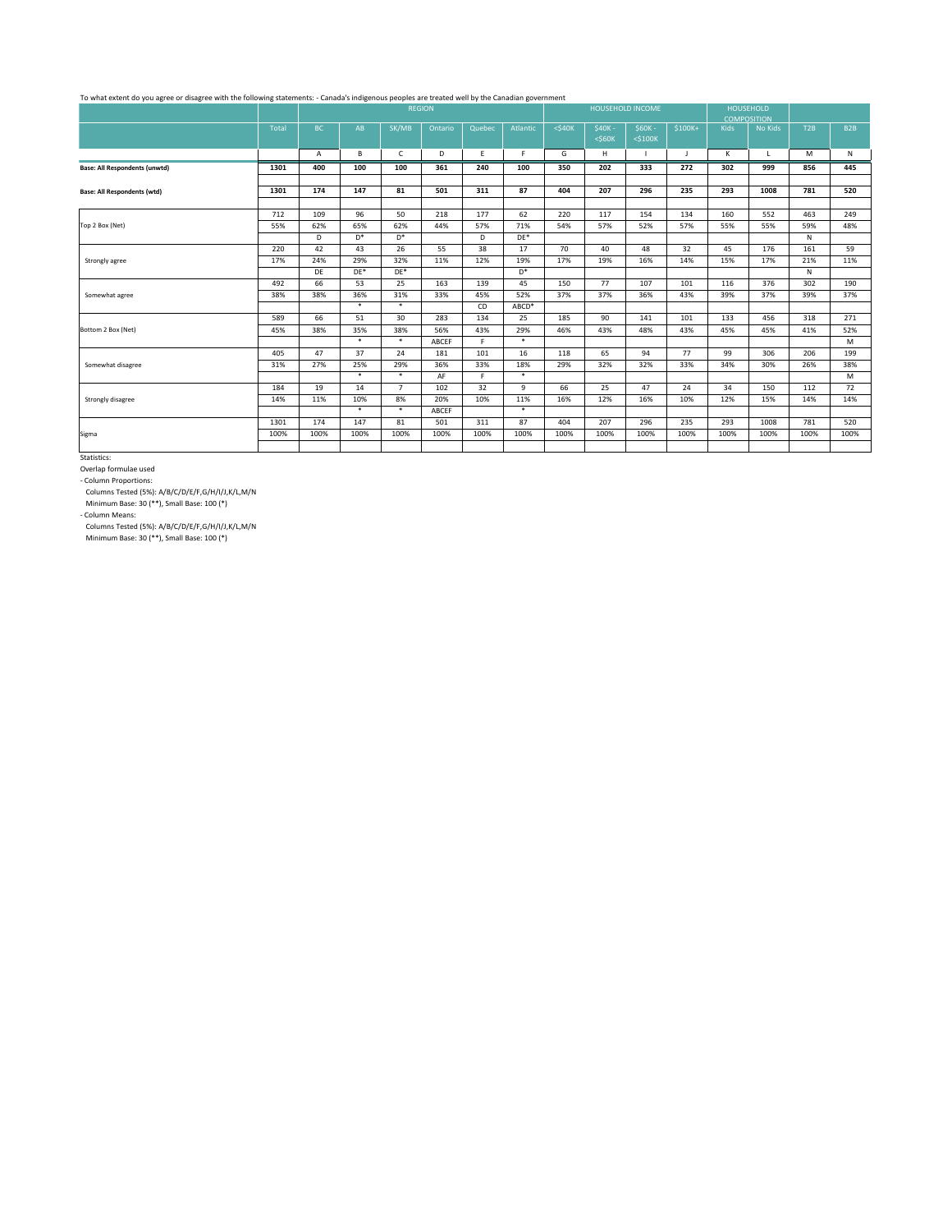|                                      |       |      |        |                | <b>REGION</b> |        |                  | <b>HOUSEHOLD INCOME</b> |              |               |          |                    | <b>HOUSEHOLD</b> |      |                  |
|--------------------------------------|-------|------|--------|----------------|---------------|--------|------------------|-------------------------|--------------|---------------|----------|--------------------|------------------|------|------------------|
|                                      |       |      |        |                |               |        |                  |                         |              |               |          | <b>COMPOSITION</b> |                  |      |                  |
|                                      | Total | BC   | AB     | SK/MB          | Ontario       | Quebec | Atlantic         | $<$ \$40 $K$            | $$40K -$     | $$60K -$      | $$100K+$ | <b>Kids</b>        | No Kids          | T2B  | B <sub>2</sub> B |
|                                      |       |      |        |                |               |        |                  |                         | $<$ \$60 $K$ | $<$ \$100 $K$ |          |                    |                  |      |                  |
|                                      |       | A    | B      | $\mathsf{C}$   | D             | E      | F.               | G                       | H            | $\perp$       | J        | K                  | $\mathsf{L}$     | M    | N                |
| <b>Base: All Respondents (unwtd)</b> | 1301  | 400  | 100    | 100            | 361           | 240    | 100              | 350                     | 202          | 333           | 272      | 302                | 999              | 856  | 445              |
| <b>Base: All Respondents (wtd)</b>   | 1301  | 174  | 147    | 81             | 501           | 311    | 87               | 404                     | 207          | 296           | 235      | 293                | 1008             | 781  | 520              |
|                                      |       |      |        |                |               |        |                  |                         |              |               |          |                    |                  |      |                  |
|                                      | 712   | 109  | 96     | 50             | 218           | 177    | 62               | 220                     | 117          | 154           | 134      | 160                | 552              | 463  | 249              |
| Top 2 Box (Net)                      | 55%   | 62%  | 65%    | 62%            | 44%           | 57%    | 71%              | 54%                     | 57%          | 52%           | 57%      | 55%                | 55%              | 59%  | 48%              |
|                                      |       | D    | D*     | $\mathsf{D}^*$ |               | D      | $DE*$            |                         |              |               |          |                    |                  | N    |                  |
|                                      | 220   | 42   | 43     | 26             | 55            | 38     | 17               | 70                      | 40           | 48            | 32       | 45                 | 176              | 161  | 59               |
| Strongly agree                       | 17%   | 24%  | 29%    | 32%            | 11%           | 12%    | 19%              | 17%                     | 19%          | 16%           | 14%      | 15%                | 17%              | 21%  | 11%              |
|                                      |       | DE   | $DE^*$ | $DE*$          |               |        | $\mathsf{D}^{*}$ |                         |              |               |          |                    |                  | N    |                  |
|                                      | 492   | 66   | 53     | 25             | 163           | 139    | 45               | 150                     | 77           | 107           | 101      | 116                | 376              | 302  | 190              |
| Somewhat agree                       | 38%   | 38%  | 36%    | 31%            | 33%           | 45%    | 52%              | 37%                     | 37%          | 36%           | 43%      | 39%                | 37%              | 39%  | 37%              |
|                                      |       |      | $\ast$ | $\ast$         |               | CD     | ABCD*            |                         |              |               |          |                    |                  |      |                  |
|                                      | 589   | 66   | 51     | 30             | 283           | 134    | 25               | 185                     | 90           | 141           | 101      | 133                | 456              | 318  | 271              |
| Bottom 2 Box (Net)                   | 45%   | 38%  | 35%    | 38%            | 56%           | 43%    | 29%              | 46%                     | 43%          | 48%           | 43%      | 45%                | 45%              | 41%  | 52%              |
|                                      |       |      | $\ast$ | $\ast$         | ABCEF         | F      | $\ast$           |                         |              |               |          |                    |                  |      | M                |
|                                      | 405   | 47   | 37     | 24             | 181           | 101    | 16               | 118                     | 65           | 94            | 77       | 99                 | 306              | 206  | 199              |
| Somewhat disagree                    | 31%   | 27%  | 25%    | 29%            | 36%           | 33%    | 18%              | 29%                     | 32%          | 32%           | 33%      | 34%                | 30%              | 26%  | 38%              |
|                                      |       |      | $\ast$ | $\ast$         | AF            | F.     | $\ast$           |                         |              |               |          |                    |                  |      | M                |
|                                      | 184   | 19   | 14     | $\overline{7}$ | 102           | 32     | 9                | 66                      | 25           | 47            | 24       | 34                 | 150              | 112  | 72               |
| Strongly disagree                    | 14%   | 11%  | 10%    | 8%             | 20%           | 10%    | 11%              | 16%                     | 12%          | 16%           | 10%      | 12%                | 15%              | 14%  | 14%              |
|                                      |       |      | $\ast$ | $\ast$         | <b>ABCEF</b>  |        | $\ast$           |                         |              |               |          |                    |                  |      |                  |
|                                      | 1301  | 174  | 147    | 81             | 501           | 311    | 87               | 404                     | 207          | 296           | 235      | 293                | 1008             | 781  | 520              |
| Sigma                                | 100%  | 100% | 100%   | 100%           | 100%          | 100%   | 100%             | 100%                    | 100%         | 100%          | 100%     | 100%               | 100%             | 100% | 100%             |
|                                      |       |      |        |                |               |        |                  |                         |              |               |          |                    |                  |      |                  |

To what extent do you agree or disagree with the following statements: - Canada's indigenous peoples are treated well by the Canadian government

Statistics:

Overlap formulae used

- Column Proportions:

Columns Tested (5%): A/B/C/D/E/F,G/H/I/J,K/L,M/N

Minimum Base: 30 (\*\*), Small Base: 100 (\*)

- Column Means:

Columns Tested (5%): A/B/C/D/E/F,G/H/I/J,K/L,M/N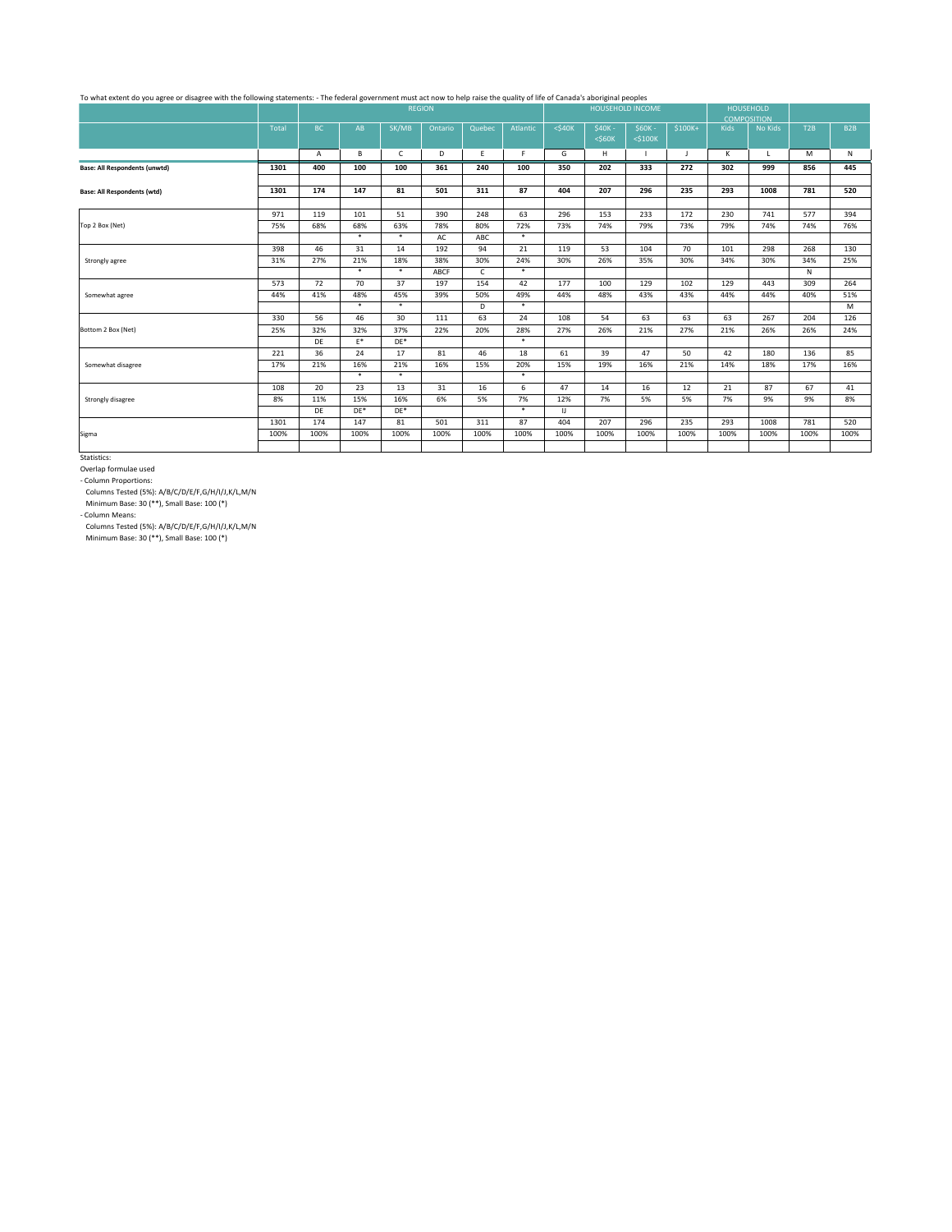|                                      |       |           |        |              | <b>REGION</b> |              |          | <b>HOUSEHOLD INCOME</b> |              |               |          |                    | <b>HOUSEHOLD</b> |      |                  |
|--------------------------------------|-------|-----------|--------|--------------|---------------|--------------|----------|-------------------------|--------------|---------------|----------|--------------------|------------------|------|------------------|
|                                      |       |           |        |              |               |              |          |                         |              |               |          | <b>COMPOSITION</b> |                  |      |                  |
|                                      | Total | BC        | AB     | SK/MB        | Ontario       | Quebec       | Atlantic | $<$ \$40 $K$            | $$40K -$     | $$60K -$      | $$100K+$ | <b>Kids</b>        | <b>No Kids</b>   | T2B  | B <sub>2</sub> B |
|                                      |       |           |        |              |               |              |          |                         | $<$ \$60 $K$ | $<$ \$100 $K$ |          |                    |                  |      |                  |
|                                      |       | A         | B      | $\mathsf{C}$ | D             | E            | F.       | G                       | H            |               | J        | K                  | L.               | M    | N                |
| <b>Base: All Respondents (unwtd)</b> | 1301  | 400       | 100    | 100          | 361           | 240          | 100      | 350                     | 202          | 333           | 272      | 302                | 999              | 856  | 445              |
| <b>Base: All Respondents (wtd)</b>   | 1301  | 174       | 147    | 81           | 501           | 311          | 87       | 404                     | 207          | 296           | 235      | 293                | 1008             | 781  | 520              |
|                                      |       |           |        |              |               |              |          |                         |              |               |          |                    |                  |      |                  |
|                                      | 971   | 119       | 101    | 51           | 390           | 248          | 63       | 296                     | 153          | 233           | 172      | 230                | 741              | 577  | 394              |
| Top 2 Box (Net)                      | 75%   | 68%       | 68%    | 63%          | 78%           | 80%          | 72%      | 73%                     | 74%          | 79%           | 73%      | 79%                | 74%              | 74%  | 76%              |
|                                      |       |           | $\ast$ | $\ast$       | AC            | ABC          | $\ast$   |                         |              |               |          |                    |                  |      |                  |
|                                      | 398   | 46        | 31     | 14           | 192           | 94           | 21       | 119                     | 53           | 104           | 70       | 101                | 298              | 268  | 130              |
| Strongly agree                       | 31%   | 27%       | 21%    | 18%          | 38%           | 30%          | 24%      | 30%                     | 26%          | 35%           | 30%      | 34%                | 30%              | 34%  | 25%              |
|                                      |       |           | $\ast$ | $\ast$       | <b>ABCF</b>   | $\mathsf{C}$ | $\ast$   |                         |              |               |          |                    |                  | N    |                  |
|                                      | 573   | 72        | 70     | 37           | 197           | 154          | 42       | 177                     | 100          | 129           | 102      | 129                | 443              | 309  | 264              |
| Somewhat agree                       | 44%   | 41%       | 48%    | 45%          | 39%           | 50%          | 49%      | 44%                     | 48%          | 43%           | 43%      | 44%                | 44%              | 40%  | 51%              |
|                                      |       |           | $\ast$ | $\ast$       |               | D            | $\ast$   |                         |              |               |          |                    |                  |      | M                |
|                                      | 330   | 56        | 46     | 30           | 111           | 63           | 24       | 108                     | 54           | 63            | 63       | 63                 | 267              | 204  | 126              |
| Bottom 2 Box (Net)                   | 25%   | 32%       | 32%    | 37%          | 22%           | 20%          | 28%      | 27%                     | 26%          | 21%           | 27%      | 21%                | 26%              | 26%  | 24%              |
|                                      |       | <b>DE</b> | $E^*$  | $DE^*$       |               |              | $\ast$   |                         |              |               |          |                    |                  |      |                  |
|                                      | 221   | 36        | 24     | 17           | 81            | 46           | 18       | 61                      | 39           | 47            | 50       | 42                 | 180              | 136  | 85               |
| Somewhat disagree                    | 17%   | 21%       | 16%    | 21%          | 16%           | 15%          | 20%      | 15%                     | 19%          | 16%           | 21%      | 14%                | 18%              | 17%  | 16%              |
|                                      |       |           | $\ast$ | $\ast$       |               |              | $\ast$   |                         |              |               |          |                    |                  |      |                  |
|                                      | 108   | 20        | 23     | 13           | 31            | 16           | 6        | 47                      | 14           | 16            | 12       | 21                 | 87               | 67   | 41               |
| Strongly disagree                    | 8%    | 11%       | 15%    | 16%          | 6%            | 5%           | 7%       | 12%                     | 7%           | 5%            | 5%       | 7%                 | 9%               | 9%   | 8%               |
|                                      |       | DE        | $DE*$  | $DE*$        |               |              | $\ast$   | $\mathsf{U} \cdot$      |              |               |          |                    |                  |      |                  |
|                                      | 1301  | 174       | 147    | 81           | 501           | 311          | 87       | 404                     | 207          | 296           | 235      | 293                | 1008             | 781  | 520              |
| Sigma                                | 100%  | 100%      | 100%   | 100%         | 100%          | 100%         | 100%     | 100%                    | 100%         | 100%          | 100%     | 100%               | 100%             | 100% | 100%             |
|                                      |       |           |        |              |               |              |          |                         |              |               |          |                    |                  |      |                  |

## To what extent do you agree or disagree with the following statements: - The federal government must act now to help raise the quality of life of Canada's aboriginal peoples

Statistics:

Overlap formulae used

- Column Proportions:

Columns Tested (5%): A/B/C/D/E/F,G/H/I/J,K/L,M/N

Minimum Base: 30 (\*\*), Small Base: 100 (\*)

- Column Means:

Columns Tested (5%): A/B/C/D/E/F,G/H/I/J,K/L,M/N